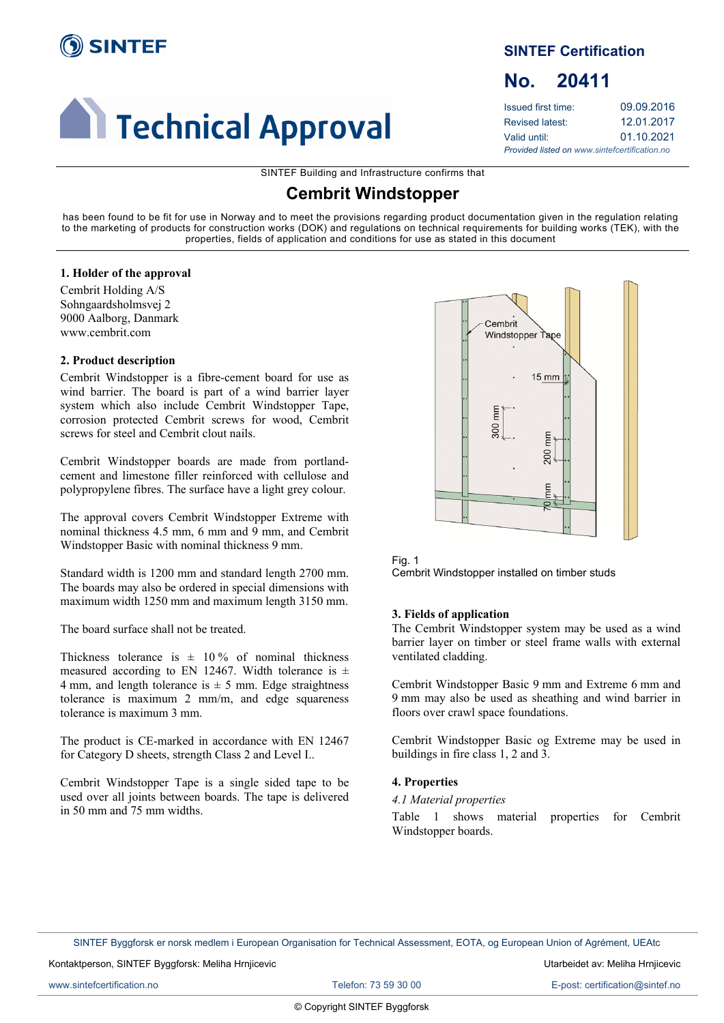

# **Al Technical Approval**

# **SINTEF Certification**

# <span id="page-0-0"></span>**No. 20411**

| Issued first time:                            | 09.09.2016 |  |  |  |
|-----------------------------------------------|------------|--|--|--|
| Revised latest:                               | 12.01.2017 |  |  |  |
| Valid until:                                  | 01.10.2021 |  |  |  |
| Provided listed on www.sintefcertification.no |            |  |  |  |

SINTEF Building and Infrastructure confirms that

# **Cembrit Windstopper**

has been found to be fit for use in Norway and to meet the provisions regarding product documentation given in the regulation relating to the marketing of products for construction works (DOK) and regulations on technical requirements for building works (TEK), with the properties, fields of application and conditions for use as stated in this document

# **1. Holder of the approval**

Cembrit Holding A/S Sohngaardsholmsvej 2 9000 Aalborg, Danmark www.cembrit.com

# **2. Product description**

Cembrit Windstopper is a fibre-cement board for use as wind barrier. The board is part of a wind barrier layer system which also include Cembrit Windstopper Tape, corrosion protected Cembrit screws for wood, Cembrit screws for steel and Cembrit clout nails.

Cembrit Windstopper boards are made from portlandcement and limestone filler reinforced with cellulose and polypropylene fibres. The surface have a light grey colour.

The approval covers Cembrit Windstopper Extreme with nominal thickness 4.5 mm, 6 mm and 9 mm, and Cembrit Windstopper Basic with nominal thickness 9 mm.

Standard width is 1200 mm and standard length 2700 mm. The boards may also be ordered in special dimensions with maximum width 1250 mm and maximum length 3150 mm.

The board surface shall not be treated.

Thickness tolerance is  $\pm$  10% of nominal thickness measured according to EN 12467. Width tolerance is  $\pm$ 4 mm, and length tolerance is  $\pm$  5 mm. Edge straightness tolerance is maximum 2 mm/m, and edge squareness tolerance is maximum 3 mm.

The product is CE-marked in accordance with EN 12467 for Category D sheets, strength Class 2 and Level I..

Cembrit Windstopper Tape is a single sided tape to be used over all joints between boards. The tape is delivered in 50 mm and 75 mm widths.



Fig. 1 Cembrit Windstopper installed on timber studs

# **3. Fields of application**

The Cembrit Windstopper system may be used as a wind barrier layer on timber or steel frame walls with external ventilated cladding.

Cembrit Windstopper Basic 9 mm and Extreme 6 mm and 9 mm may also be used as sheathing and wind barrier in floors over crawl space foundations.

Cembrit Windstopper Basic og Extreme may be used in buildings in fire class 1, 2 and 3.

# **4. Properties**

#### *4.1 Material properties*

Table 1 shows material properties for Cembrit Windstopper boards.

SINTEF Byggforsk er norsk medlem i European Organisation for Technical Assessment, EOTA, og European Union of Agrément, UEAtc

Kontaktperson, SINTEF Byggforsk: Meliha Hrnjicevic Utarbeidet av: Meliha Hrnjicevic Utarbeidet av: Meliha Hrnjicevic

[www.sintefcertification.no](http://www.sintefcertification.no/) <br>
Telefon: 73 59 30 00 E-post: certification@sintef.no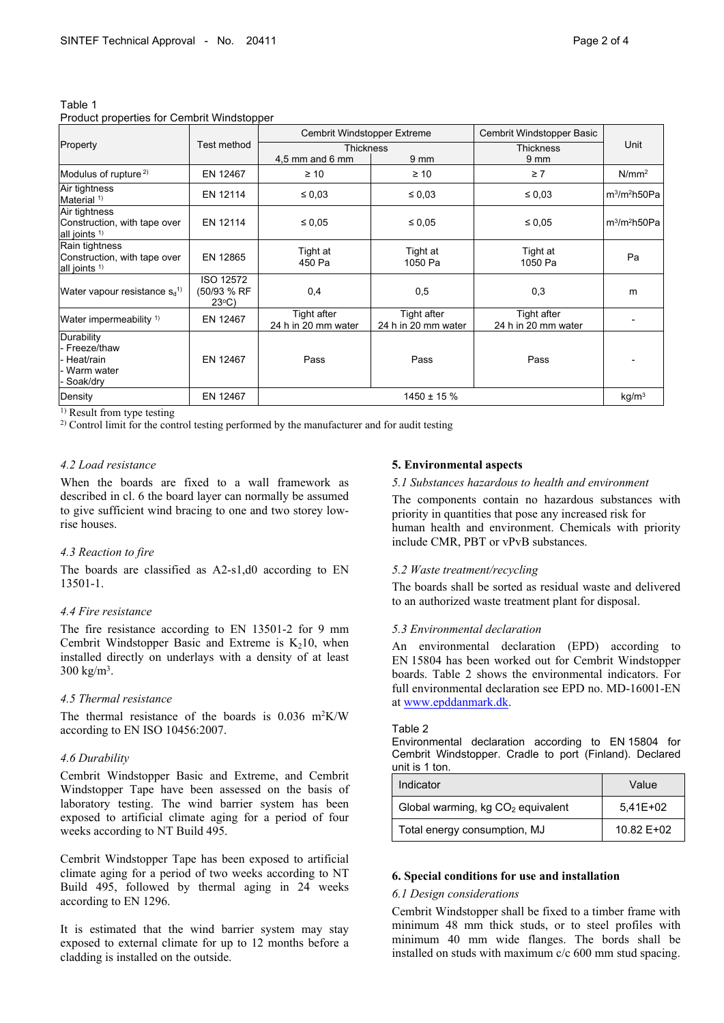|                                                                            |                                         | Cembrit Windstopper Extreme        |                                    | Cembrit Windstopper Basic          | Unit                                 |
|----------------------------------------------------------------------------|-----------------------------------------|------------------------------------|------------------------------------|------------------------------------|--------------------------------------|
| Property                                                                   | Test method                             | <b>Thickness</b>                   |                                    | <b>Thickness</b>                   |                                      |
|                                                                            |                                         | 4,5 mm and 6 mm                    | 9 mm                               | 9 <sub>mm</sub>                    |                                      |
| Modulus of rupture <sup>2)</sup>                                           | EN 12467                                | $\geq 10$                          | $\geq 10$                          | $\geq 7$                           | N/mm <sup>2</sup>                    |
| Air tightness<br>Material <sup>1)</sup>                                    | EN 12114                                | $\leq 0.03$                        | $\leq 0.03$                        | $\leq 0.03$                        | m <sup>3</sup> /m <sup>2</sup> h50Pa |
| Air tightness<br>Construction, with tape over<br>all joints <sup>1)</sup>  | EN 12114                                | $\leq 0.05$                        | $\leq 0.05$                        | $\leq 0.05$                        | m <sup>3</sup> /m <sup>2</sup> h50Pa |
| Rain tightness<br>Construction, with tape over<br>all joints <sup>1)</sup> | EN 12865                                | Tight at<br>450 Pa                 | Tight at<br>1050 Pa                | Tight at<br>1050 Pa                | Pa                                   |
| Water vapour resistance s <sub>d</sub> <sup>1)</sup>                       | <b>ISO 12572</b><br>(50/93 % RF<br>23°C | 0,4                                | 0,5                                | 0,3                                | m                                    |
| Water impermeability <sup>1)</sup>                                         | EN 12467                                | Tight after<br>24 h in 20 mm water | Tight after<br>24 h in 20 mm water | Tight after<br>24 h in 20 mm water |                                      |
| Durability<br>- Freeze/thaw<br>Heat/rain<br>Warm water<br>Soak/dry         | EN 12467                                | Pass                               | Pass                               | Pass                               |                                      |
| Density                                                                    | EN 12467                                | $1450 \pm 15 \%$                   |                                    |                                    | kg/m <sup>3</sup>                    |

Table 1 Product properties for Cembrit Windstopper

<sup>1)</sup> Result from type testing

2) Control limit for the control testing performed by the manufacturer and for audit testing

#### *4.2 Load resistance*

When the boards are fixed to a wall framework as described in cl. 6 the board layer can normally be assumed to give sufficient wind bracing to one and two storey lowrise houses.

#### *4.3 Reaction to fire*

The boards are classified as A2-s1,d0 according to EN 13501-1.

#### *4.4 Fire resistance*

The fire resistance according to EN 13501-2 for 9 mm Cembrit Windstopper Basic and Extreme is  $K_2$ 10, when installed directly on underlays with a density of at least  $300 \text{ kg/m}^3$ .

#### *4.5 Thermal resistance*

The thermal resistance of the boards is  $0.036$  m<sup>2</sup>K/W according to EN ISO 10456:2007.

#### *4.6 Durability*

Cembrit Windstopper Basic and Extreme, and Cembrit Windstopper Tape have been assessed on the basis of laboratory testing. The wind barrier system has been exposed to artificial climate aging for a period of four weeks according to NT Build 495.

Cembrit Windstopper Tape has been exposed to artificial climate aging for a period of two weeks according to NT Build 495, followed by thermal aging in 24 weeks according to EN 1296.

It is estimated that the wind barrier system may stay exposed to external climate for up to 12 months before a cladding is installed on the outside.

#### **5. Environmental aspects**

#### *5.1 Substances hazardous to health and environment*

The components contain no hazardous substances with priority in quantities that pose any increased risk for human health and environment. Chemicals with priority include CMR, PBT or vPvB substances.

# *5.2 Waste treatment/recycling*

The boards shall be sorted as residual waste and delivered to an authorized waste treatment plant for disposal.

#### *5.3 Environmental declaration*

An environmental declaration (EPD) according to EN 15804 has been worked out for Cembrit Windstopper boards. Table 2 shows the environmental indicators. For full environmental declaration see EPD no. MD-16001-EN at [www.epddanmark.dk](http://www.epddanmark.dk/).

#### Table 2

Environmental declaration according to EN 15804 for Cembrit Windstopper. Cradle to port (Finland). Declared unit is 1 ton.

| Indicator                                     | Value      |
|-----------------------------------------------|------------|
| Global warming, kg CO <sub>2</sub> equivalent | 5,41E+02   |
| Total energy consumption, MJ                  | 10.82 E+02 |

#### **6. Special conditions for use and installation**

#### *6.1 Design considerations*

Cembrit Windstopper shall be fixed to a timber frame with minimum 48 mm thick studs, or to steel profiles with minimum 40 mm wide flanges. The bords shall be installed on studs with maximum c/c 600 mm stud spacing.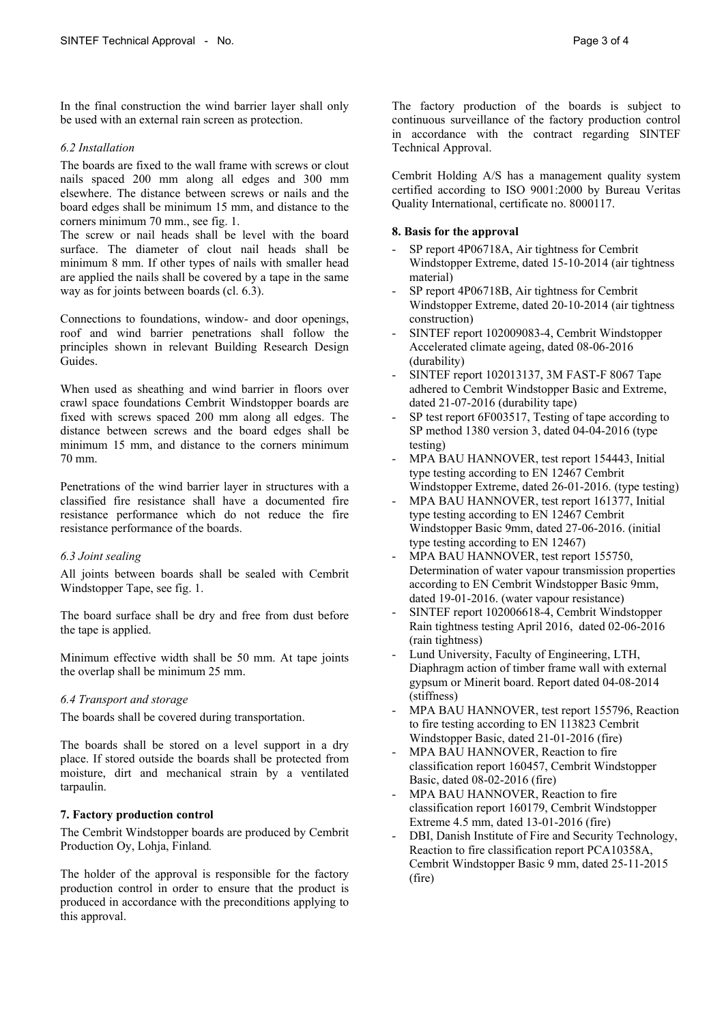In the final construction the wind barrier layer shall only be used with an external rain screen as protection.

### *6.2 Installation*

The boards are fixed to the wall frame with screws or clout nails spaced 200 mm along all edges and 300 mm elsewhere. The distance between screws or nails and the board edges shall be minimum 15 mm, and distance to the corners minimum 70 mm., see fig. 1.

The screw or nail heads shall be level with the board surface. The diameter of clout nail heads shall be minimum 8 mm. If other types of nails with smaller head are applied the nails shall be covered by a tape in the same way as for joints between boards (cl. 6.3).

Connections to foundations, window- and door openings, roof and wind barrier penetrations shall follow the principles shown in relevant Building Research Design Guides.

When used as sheathing and wind barrier in floors over crawl space foundations Cembrit Windstopper boards are fixed with screws spaced 200 mm along all edges. The distance between screws and the board edges shall be minimum 15 mm, and distance to the corners minimum 70 mm.

Penetrations of the wind barrier layer in structures with a classified fire resistance shall have a documented fire resistance performance which do not reduce the fire resistance performance of the boards.

# *6.3 Joint sealing*

All joints between boards shall be sealed with Cembrit Windstopper Tape, see fig. 1.

The board surface shall be dry and free from dust before the tape is applied.

Minimum effective width shall be 50 mm. At tape joints the overlap shall be minimum 25 mm.

# *6.4 Transport and storage*

The boards shall be covered during transportation.

The boards shall be stored on a level support in a dry place. If stored outside the boards shall be protected from moisture, dirt and mechanical strain by a ventilated tarpaulin.

# **7. Factory production control**

The Cembrit Windstopper boards are produced by Cembrit Production Oy, Lohja, Finland*.*

The holder of the approval is responsible for the factory production control in order to ensure that the product is produced in accordance with the preconditions applying to this approval.

The factory production of the boards is subject to continuous surveillance of the factory production control in accordance with the contract regarding SINTEF Technical Approval.

Cembrit Holding A/S has a management quality system certified according to ISO 9001:2000 by Bureau Veritas Quality International, certificate no. 8000117.

# **8. Basis for the approval**

- SP report 4P06718A, Air tightness for Cembrit Windstopper Extreme, dated 15-10-2014 (air tightness material)
- SP report 4P06718B, Air tightness for Cembrit Windstopper Extreme, dated 20-10-2014 (air tightness construction)
- SINTEF report 102009083-4, Cembrit Windstopper Accelerated climate ageing, dated 08-06-2016 (durability)
- SINTEF report 102013137, 3M FAST-F 8067 Tape adhered to Cembrit Windstopper Basic and Extreme, dated 21-07-2016 (durability tape)
- SP test report 6F003517, Testing of tape according to SP method 1380 version 3, dated 04-04-2016 (type testing)
- MPA BAU HANNOVER, test report 154443, Initial type testing according to EN 12467 Cembrit Windstopper Extreme, dated 26-01-2016. (type testing)
- MPA BAU HANNOVER, test report 161377, Initial type testing according to EN 12467 Cembrit Windstopper Basic 9mm, dated 27-06-2016. (initial type testing according to EN 12467)
- MPA BAU HANNOVER, test report 155750, Determination of water vapour transmission properties according to EN Cembrit Windstopper Basic 9mm, dated 19-01-2016. (water vapour resistance)
- SINTEF report 102006618-4, Cembrit Windstopper Rain tightness testing April 2016, dated 02-06-2016 (rain tightness)
- Lund University, Faculty of Engineering, LTH, Diaphragm action of timber frame wall with external gypsum or Minerit board. Report dated 04-08-2014 (stiffness)
- MPA BAU HANNOVER, test report 155796, Reaction to fire testing according to EN 113823 Cembrit Windstopper Basic, dated 21-01-2016 (fire)
- MPA BAU HANNOVER, Reaction to fire classification report 160457, Cembrit Windstopper Basic, dated 08-02-2016 (fire)
- MPA BAU HANNOVER, Reaction to fire classification report 160179, Cembrit Windstopper Extreme 4.5 mm, dated 13-01-2016 (fire)
- DBI, Danish Institute of Fire and Security Technology, Reaction to fire classification report PCA10358A, Cembrit Windstopper Basic 9 mm, dated 25-11-2015 (fire)